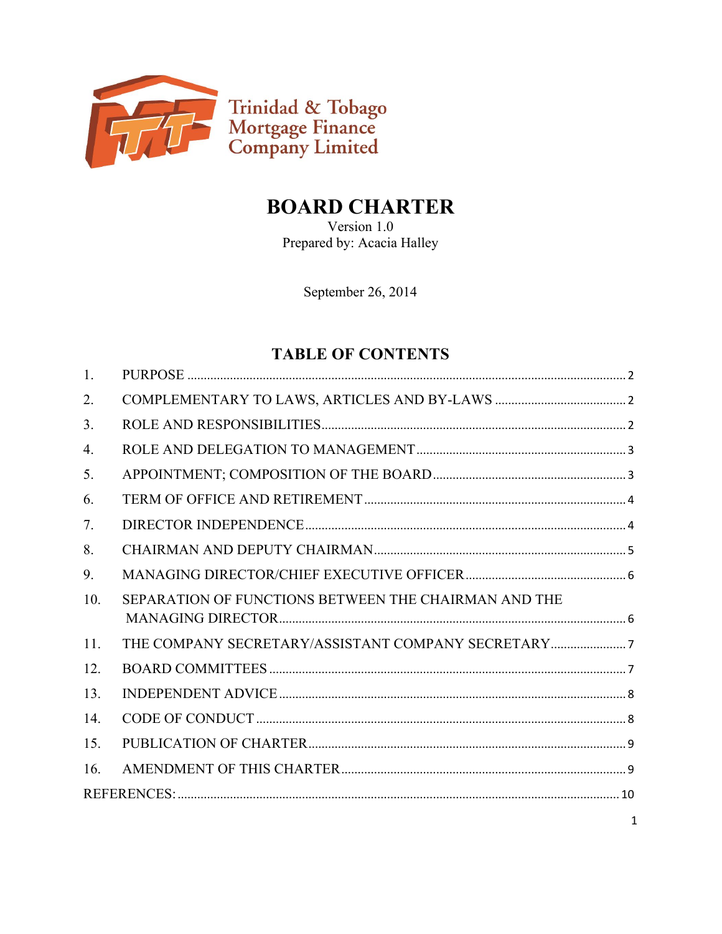

# **BOARD CHARTER**

Version 1.0 Prepared by: Acacia Halley

September 26, 2014

# **TABLE OF CONTENTS**

| 1.               |                                                      |
|------------------|------------------------------------------------------|
| 2.               |                                                      |
| 3 <sub>1</sub>   |                                                      |
| $\overline{4}$ . |                                                      |
| 5.               |                                                      |
| 6.               |                                                      |
| 7.               |                                                      |
| 8.               |                                                      |
| 9.               |                                                      |
| 10.              | SEPARATION OF FUNCTIONS BETWEEN THE CHAIRMAN AND THE |
| 11.              |                                                      |
| 12.              |                                                      |
| 13.              |                                                      |
| 14.              |                                                      |
| 15.              |                                                      |
| 16.              |                                                      |
|                  |                                                      |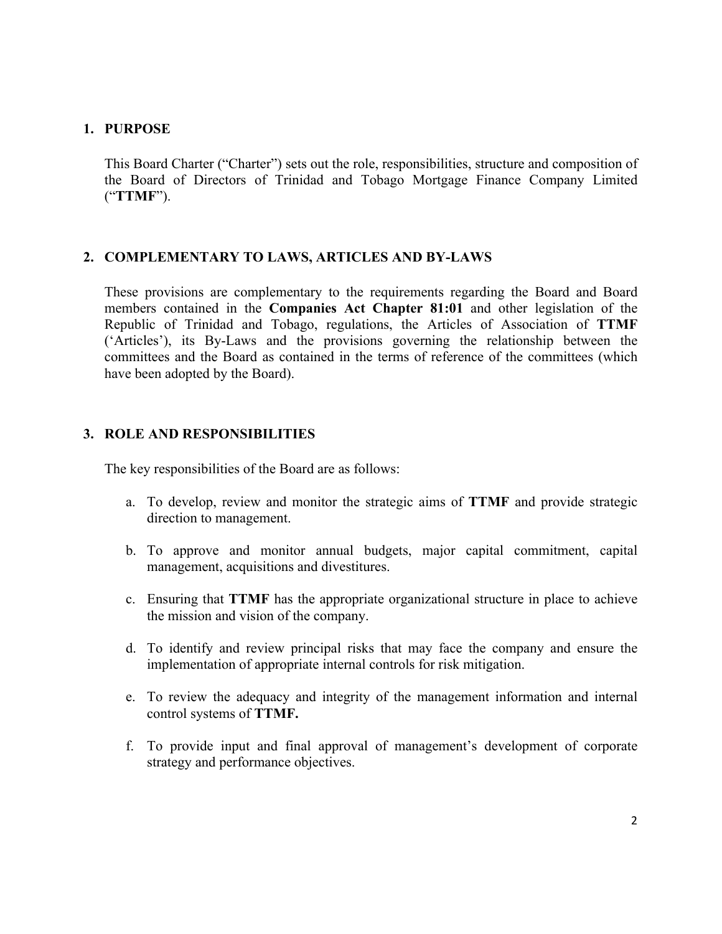#### **1. PURPOSE**

This Board Charter ("Charter") sets out the role, responsibilities, structure and composition of the Board of Directors of Trinidad and Tobago Mortgage Finance Company Limited ("**TTMF**").

#### **2. COMPLEMENTARY TO LAWS, ARTICLES AND BY-LAWS**

These provisions are complementary to the requirements regarding the Board and Board members contained in the **Companies Act Chapter 81:01** and other legislation of the Republic of Trinidad and Tobago, regulations, the Articles of Association of **TTMF**  ('Articles'), its By-Laws and the provisions governing the relationship between the committees and the Board as contained in the terms of reference of the committees (which have been adopted by the Board).

#### **3. ROLE AND RESPONSIBILITIES**

The key responsibilities of the Board are as follows:

- a. To develop, review and monitor the strategic aims of **TTMF** and provide strategic direction to management.
- b. To approve and monitor annual budgets, major capital commitment, capital management, acquisitions and divestitures.
- c. Ensuring that **TTMF** has the appropriate organizational structure in place to achieve the mission and vision of the company.
- d. To identify and review principal risks that may face the company and ensure the implementation of appropriate internal controls for risk mitigation.
- e. To review the adequacy and integrity of the management information and internal control systems of **TTMF.**
- f. To provide input and final approval of management's development of corporate strategy and performance objectives.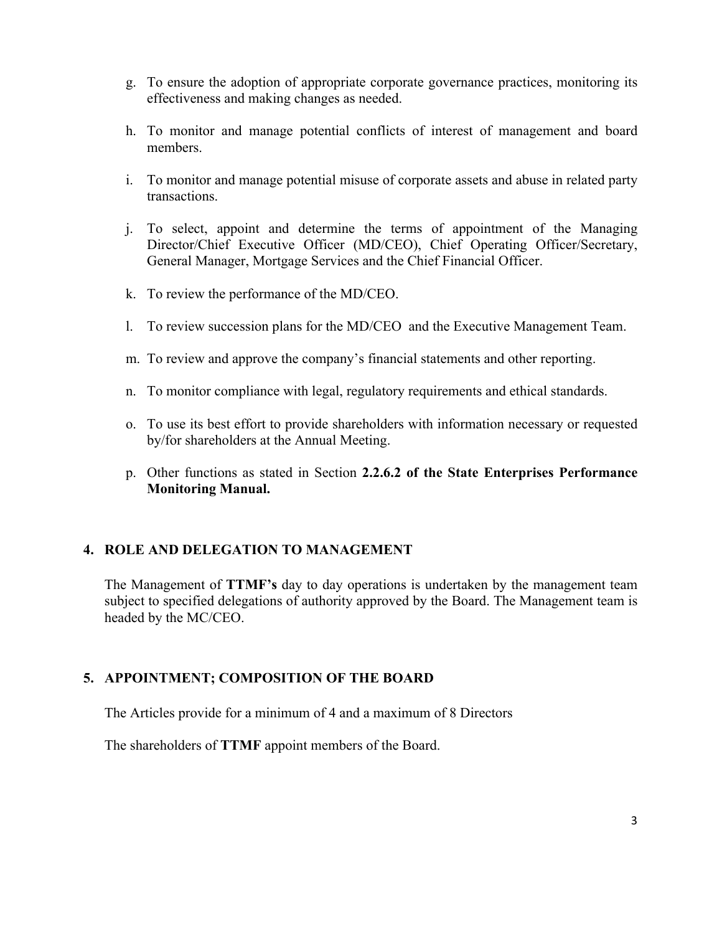- g. To ensure the adoption of appropriate corporate governance practices, monitoring its effectiveness and making changes as needed.
- h. To monitor and manage potential conflicts of interest of management and board members.
- i. To monitor and manage potential misuse of corporate assets and abuse in related party transactions.
- j. To select, appoint and determine the terms of appointment of the Managing Director/Chief Executive Officer (MD/CEO), Chief Operating Officer/Secretary, General Manager, Mortgage Services and the Chief Financial Officer.
- k. To review the performance of the MD/CEO.
- l. To review succession plans for the MD/CEO and the Executive Management Team.
- m. To review and approve the company's financial statements and other reporting.
- n. To monitor compliance with legal, regulatory requirements and ethical standards.
- o. To use its best effort to provide shareholders with information necessary or requested by/for shareholders at the Annual Meeting.
- p. Other functions as stated in Section **2.2.6.2 of the State Enterprises Performance Monitoring Manual.**

#### **4. ROLE AND DELEGATION TO MANAGEMENT**

The Management of **TTMF's** day to day operations is undertaken by the management team subject to specified delegations of authority approved by the Board. The Management team is headed by the MC/CEO.

#### **5. APPOINTMENT; COMPOSITION OF THE BOARD**

The Articles provide for a minimum of 4 and a maximum of 8 Directors

The shareholders of **TTMF** appoint members of the Board.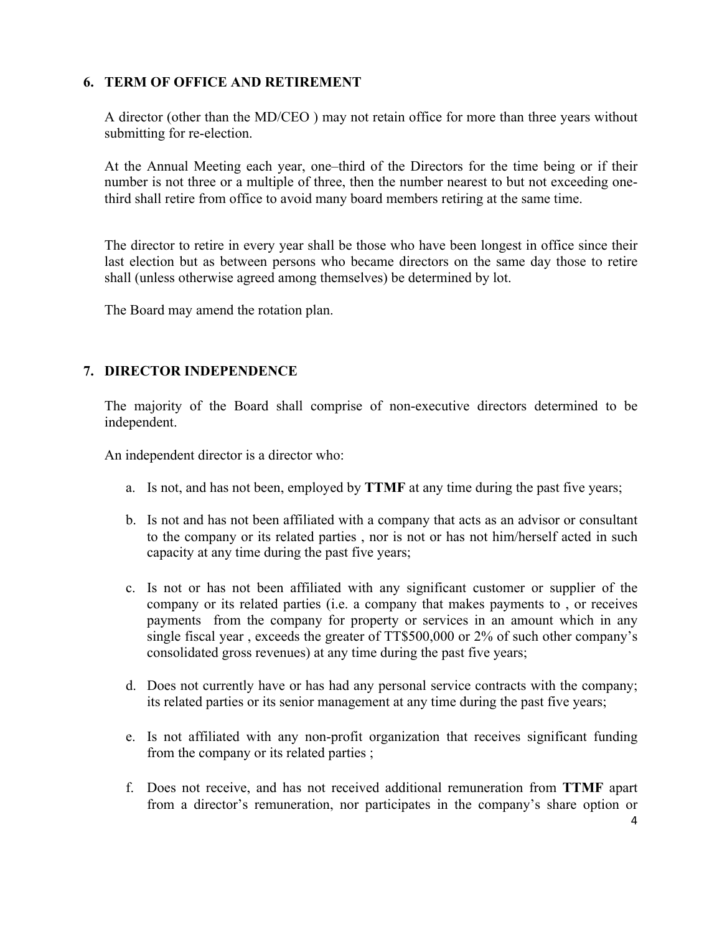#### **6. TERM OF OFFICE AND RETIREMENT**

A director (other than the MD/CEO ) may not retain office for more than three years without submitting for re-election.

At the Annual Meeting each year, one–third of the Directors for the time being or if their number is not three or a multiple of three, then the number nearest to but not exceeding onethird shall retire from office to avoid many board members retiring at the same time.

The director to retire in every year shall be those who have been longest in office since their last election but as between persons who became directors on the same day those to retire shall (unless otherwise agreed among themselves) be determined by lot.

The Board may amend the rotation plan.

# **7. DIRECTOR INDEPENDENCE**

The majority of the Board shall comprise of non-executive directors determined to be independent.

An independent director is a director who:

- a. Is not, and has not been, employed by **TTMF** at any time during the past five years;
- b. Is not and has not been affiliated with a company that acts as an advisor or consultant to the company or its related parties , nor is not or has not him/herself acted in such capacity at any time during the past five years;
- c. Is not or has not been affiliated with any significant customer or supplier of the company or its related parties (i.e. a company that makes payments to , or receives payments from the company for property or services in an amount which in any single fiscal year , exceeds the greater of TT\$500,000 or 2% of such other company's consolidated gross revenues) at any time during the past five years;
- d. Does not currently have or has had any personal service contracts with the company; its related parties or its senior management at any time during the past five years;
- e. Is not affiliated with any non-profit organization that receives significant funding from the company or its related parties ;
- f. Does not receive, and has not received additional remuneration from **TTMF** apart from a director's remuneration, nor participates in the company's share option or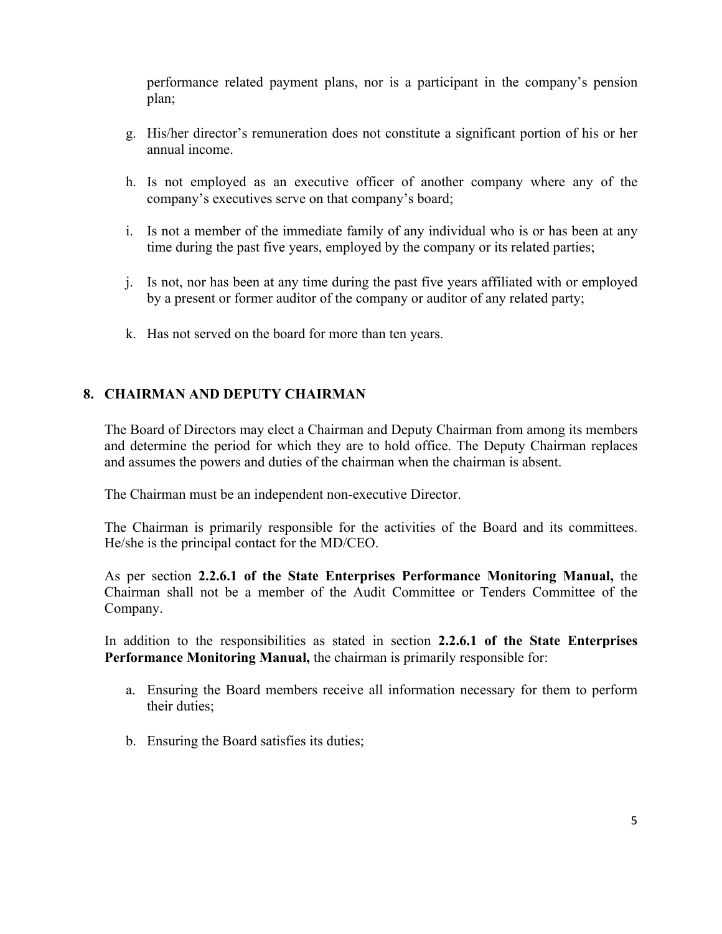performance related payment plans, nor is a participant in the company's pension plan;

- g. His/her director's remuneration does not constitute a significant portion of his or her annual income.
- h. Is not employed as an executive officer of another company where any of the company's executives serve on that company's board;
- i. Is not a member of the immediate family of any individual who is or has been at any time during the past five years, employed by the company or its related parties;
- j. Is not, nor has been at any time during the past five years affiliated with or employed by a present or former auditor of the company or auditor of any related party;
- k. Has not served on the board for more than ten years.

# **8. CHAIRMAN AND DEPUTY CHAIRMAN**

The Board of Directors may elect a Chairman and Deputy Chairman from among its members and determine the period for which they are to hold office. The Deputy Chairman replaces and assumes the powers and duties of the chairman when the chairman is absent.

The Chairman must be an independent non-executive Director.

The Chairman is primarily responsible for the activities of the Board and its committees. He/she is the principal contact for the MD/CEO.

As per section **2.2.6.1 of the State Enterprises Performance Monitoring Manual,** the Chairman shall not be a member of the Audit Committee or Tenders Committee of the Company.

In addition to the responsibilities as stated in section **2.2.6.1 of the State Enterprises Performance Monitoring Manual,** the chairman is primarily responsible for:

- a. Ensuring the Board members receive all information necessary for them to perform their duties;
- b. Ensuring the Board satisfies its duties;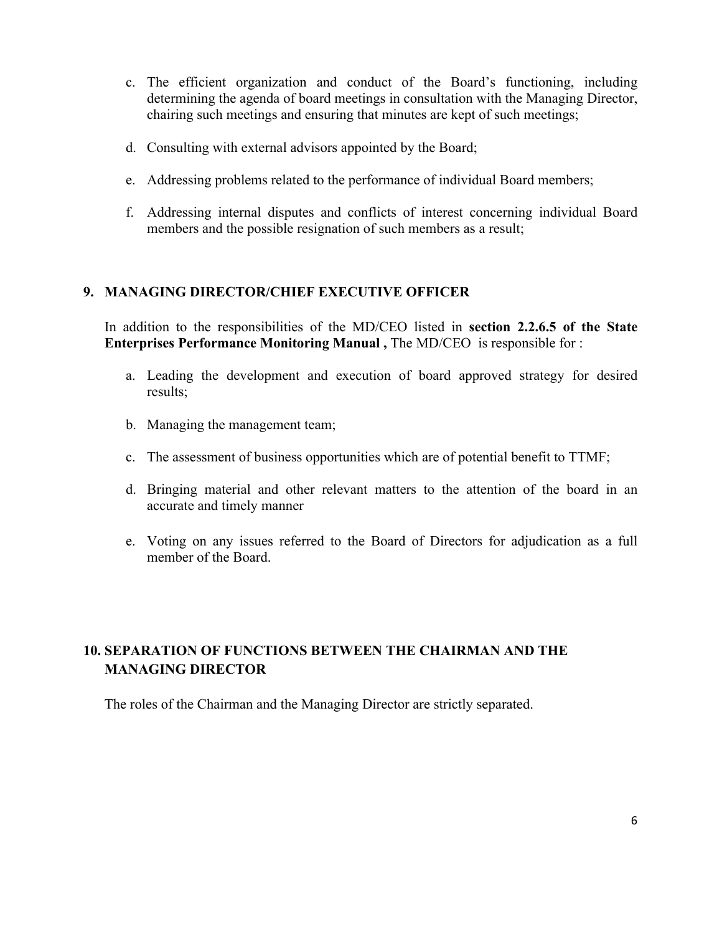- c. The efficient organization and conduct of the Board's functioning, including determining the agenda of board meetings in consultation with the Managing Director, chairing such meetings and ensuring that minutes are kept of such meetings;
- d. Consulting with external advisors appointed by the Board;
- e. Addressing problems related to the performance of individual Board members;
- f. Addressing internal disputes and conflicts of interest concerning individual Board members and the possible resignation of such members as a result;

# **9. MANAGING DIRECTOR/CHIEF EXECUTIVE OFFICER**

In addition to the responsibilities of the MD/CEO listed in **section 2.2.6.5 of the State Enterprises Performance Monitoring Manual ,** The MD/CEO is responsible for :

- a. Leading the development and execution of board approved strategy for desired results;
- b. Managing the management team;
- c. The assessment of business opportunities which are of potential benefit to TTMF;
- d. Bringing material and other relevant matters to the attention of the board in an accurate and timely manner
- e. Voting on any issues referred to the Board of Directors for adjudication as a full member of the Board.

# **10. SEPARATION OF FUNCTIONS BETWEEN THE CHAIRMAN AND THE MANAGING DIRECTOR**

The roles of the Chairman and the Managing Director are strictly separated.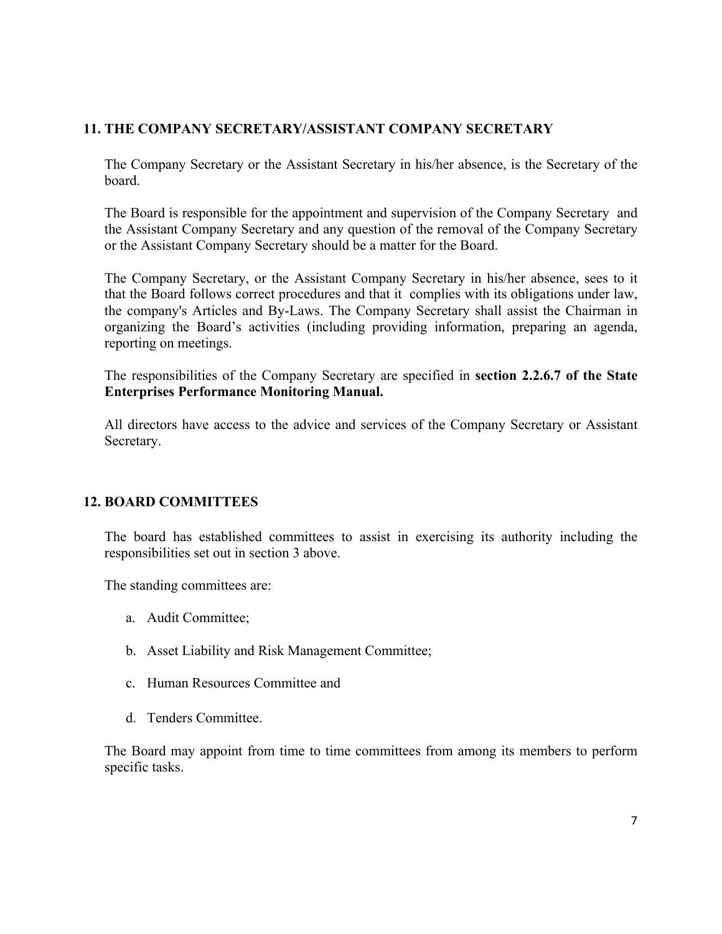# **11. THE COMPANY SECRETARY/ASSISTANT COMPANY SECRETARY**

The Company Secretary or the Assistant Secretary in his/her absence, is the Secretary of the board.

The Board is responsible for the appointment and supervision of the Company Secretary and the Assistant Company Secretary and any question of the removal of the Company Secretary or the Assistant Company Secretary should be a matter for the Board.

The Company Secretary, or the Assistant Company Secretary in his/her absence, sees to it that the Board follows correct procedures and that it complies with its obligations under law, the company's Articles and By-Laws. The Company Secretary shall assist the Chairman in organizing the Board's activities (including providing information, preparing an agenda, reporting on meetings.

The responsibilities of the Company Secretary are specified in **section 2.2.6.7 of the State Enterprises Performance Monitoring Manual.** 

All directors have access to the advice and services of the Company Secretary or Assistant Secretary.

# **12. BOARD COMMITTEES**

The board has established committees to assist in exercising its authority including the responsibilities set out in section 3 above.

The standing committees are:

- a. Audit Committee;
- b. Asset Liability and Risk Management Committee;
- c. Human Resources Committee and
- d. Tenders Committee.

The Board may appoint from time to time committees from among its members to perform specific tasks.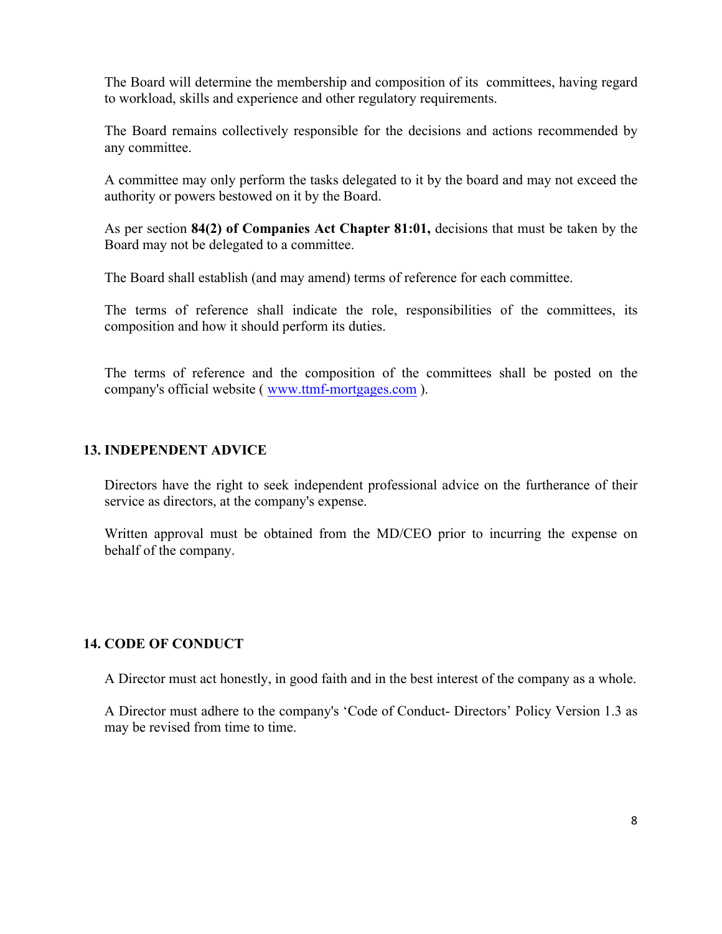The Board will determine the membership and composition of its committees, having regard to workload, skills and experience and other regulatory requirements.

The Board remains collectively responsible for the decisions and actions recommended by any committee.

A committee may only perform the tasks delegated to it by the board and may not exceed the authority or powers bestowed on it by the Board.

As per section **84(2) of Companies Act Chapter 81:01,** decisions that must be taken by the Board may not be delegated to a committee.

The Board shall establish (and may amend) terms of reference for each committee.

The terms of reference shall indicate the role, responsibilities of the committees, its composition and how it should perform its duties.

The terms of reference and the composition of the committees shall be posted on the company's official website ( www.ttmf-mortgages.com ).

# **13. INDEPENDENT ADVICE**

Directors have the right to seek independent professional advice on the furtherance of their service as directors, at the company's expense.

Written approval must be obtained from the MD/CEO prior to incurring the expense on behalf of the company.

# **14. CODE OF CONDUCT**

A Director must act honestly, in good faith and in the best interest of the company as a whole.

A Director must adhere to the company's 'Code of Conduct- Directors' Policy Version 1.3 as may be revised from time to time.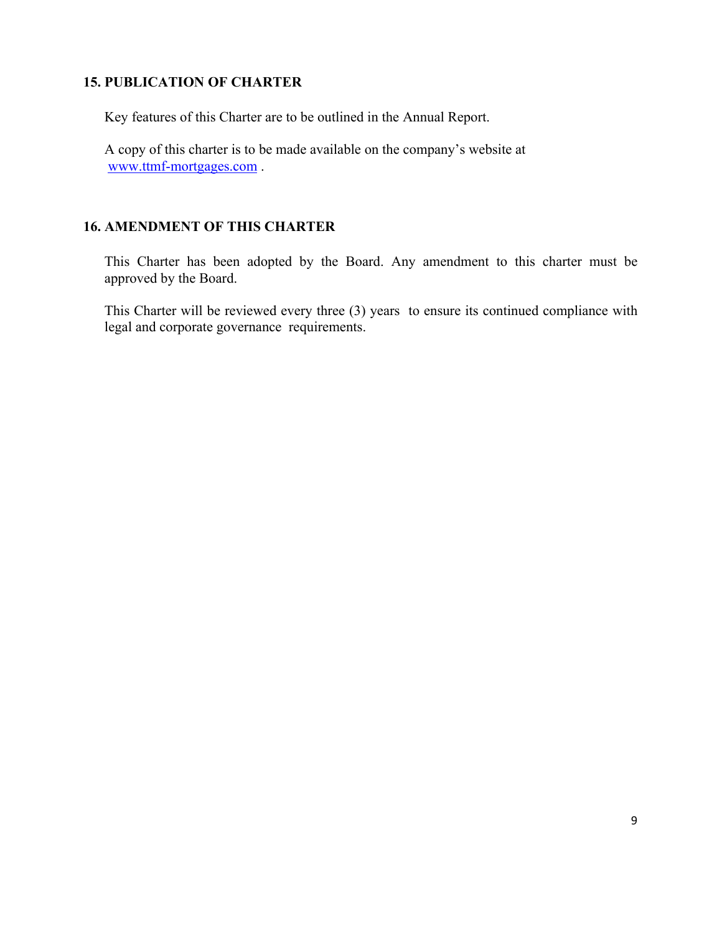#### **15. PUBLICATION OF CHARTER**

Key features of this Charter are to be outlined in the Annual Report.

A copy of this charter is to be made available on the company's website at www.ttmf-mortgages.com .

# **16. AMENDMENT OF THIS CHARTER**

This Charter has been adopted by the Board. Any amendment to this charter must be approved by the Board.

This Charter will be reviewed every three (3) years to ensure its continued compliance with legal and corporate governance requirements.